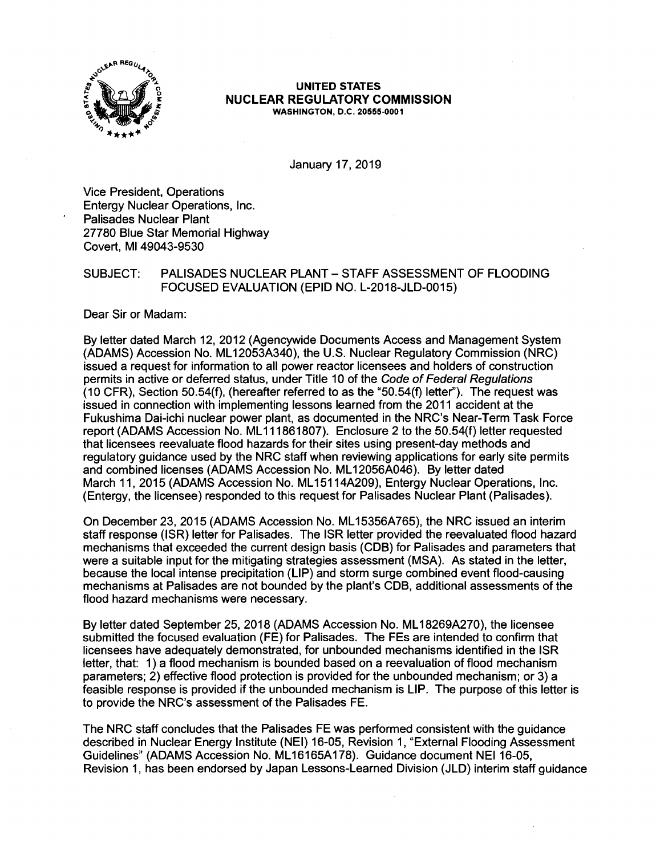

#### **UNITED STATES NUCLEAR REGULATORY COMMISSION WASHINGTON, D.C. 20555-0001**

January 17, 2019

Vice President, Operations Entergy Nuclear Operations, Inc. Palisades Nuclear Plant 27780 Blue Star Memorial Highway Covert, Ml 49043-9530

## SUBJECT: PALISADES NUCLEAR PLANT-STAFF ASSESSMENT OF FLOODING FOCUSED EVALUATION (EPID NO. L-2018-JLD-0015)

Dear Sir or Madam:

By letter dated March 12, 2012 (Agencywide Documents Access and Management System (ADAMS) Accession No. ML 12053A340), the U.S. Nuclear Regulatory Commission (NRC) issued a request for information to all power reactor licensees and holders of construction permits in active or deferred status, under Title 10 of the Code of Federal Regulations  $(10 \text{ CFR})$ , Section 50.54 $(f)$ , (hereafter referred to as the "50.54 $(f)$  letter"). The request was issued in connection with implementing lessons learned from the 2011 accident at the Fukushima Dai-ichi nuclear power plant, as documented in the NRC's Near-Term Task Force report (ADAMS Accession No. ML 111861807). Enclosure 2 to the 50.54(f) letter requested that licensees reevaluate flood hazards for their sites using present-day methods and regulatory guidance used by the NRC staff when reviewing applications for early site permits and combined licenses (ADAMS Accession No. ML 12056A046). By letter dated March 11, 2015 (ADAMS Accession No. ML 15114A209), Entergy Nuclear Operations, Inc. (Entergy, the licensee) responded to this request for Palisades Nuclear Plant (Palisades).

On December 23, 2015 (ADAMS Accession No. ML 15356A765), the NRC issued an interim staff response (ISR) letter for Palisades. The ISR letter provided the reevaluated flood hazard mechanisms that exceeded the current design basis (CDB) for Palisades and parameters that were a suitable input for the mitigating strategies assessment **(MSA). As** stated in the letter, because the local intense precipitation (LIP) and storm surge combined event flood-causing mechanisms at Palisades are not bounded by the plant's CDB, additional assessments of the flood hazard mechanisms were necessary.

By letter dated September 25, 2018 (ADAMS Accession No. ML 18269A270), the licensee submitted the focused evaluation (FE) for Palisades. The FEs are intended to confirm that licensees have adequately demonstrated, for unbounded mechanisms identified in the ISR letter, that: 1) a flood mechanism is bounded based on a reevaluation of flood mechanism parameters; 2) effective flood protection is provided for the unbounded mechanism; or 3) a feasible response is provided if the unbounded mechanism is LIP. The purpose of this letter is to provide the NRC's assessment of the Palisades FE.

The NRC staff concludes that the Palisades FE was performed consistent with the guidance described in Nuclear Energy Institute (NEI) 16-05, Revision 1, "External Flooding Assessment Guidelines" (ADAMS Accession No. ML 16165A178). Guidance document NEI 16-05, Revision 1, has been endorsed by Japan Lessons-Learned Division (JLD) interim staff guidance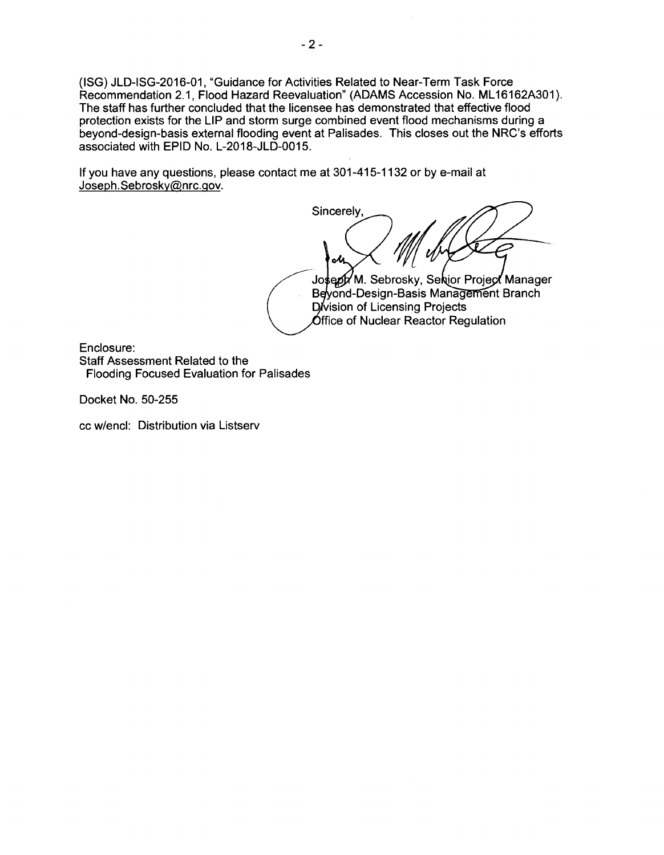(ISG) JLD-ISG-2016-01, "Guidance for Activities Related to Near-Term Task Force Recommendation 2.1, Flood Hazard Reevaluation" (ADAMS Accession No. ML 16162A301 ). The staff has further concluded that the licensee has demonstrated that effective flood protection exists for the LIP and storm surge combined event flood mechanisms during a beyond-design-basis external flooding event at Palisades. This closes out the NRC's efforts associated with EPID No. L-2018-JLD-0015.

If you have any questions, please contact me at 301-415-1132 or by e-mail at Joseph.Sebrosky@nrc.gov.

Sincerely, ન્ન

Joseph M. Sebrosky, Senior Project Manager Beyond-Design-Basis Management Branch Division of Licensing Projects **Office of Nuclear Reactor Regulation** 

Enclosure: Staff Assessment Related to the Flooding Focused Evaluation for Palisades

Docket No. 50-255

cc w/encl: Distribution via Listserv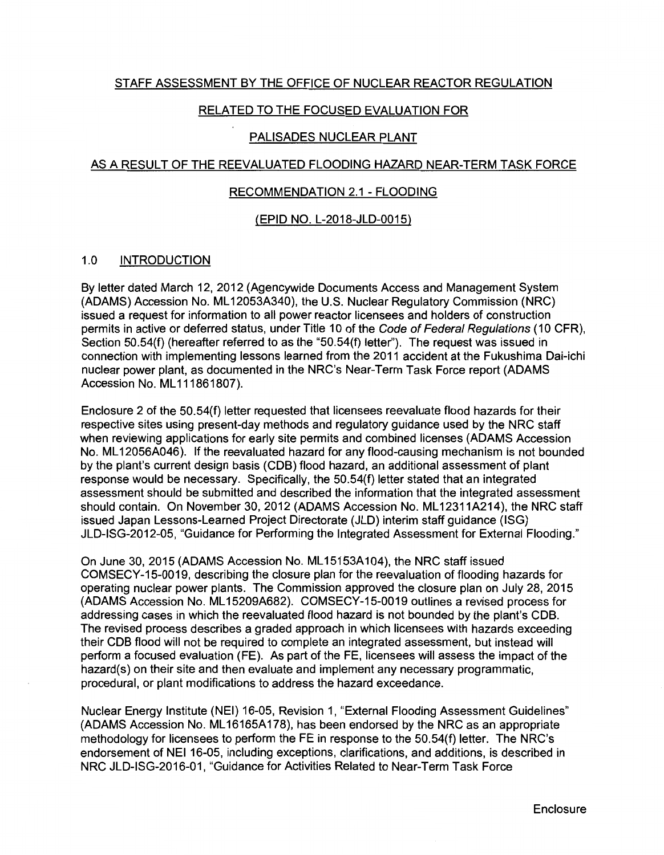## STAFF ASSESSMENT BY THE OFFICE OF NUCLEAR REACTOR REGULATION

## RELATED TO THE FOCUSED EVALUATION FOR

## PALISADES NUCLEAR PLANT

## AS A RESULT OF THE REEVALUATED FLOODING HAZARD NEAR-TERM TASK FORCE

## RECOMMENDATION 2.1 - FLOODING

## (EPID NO. L-2018-JLD-0015)

## 1.0 INTRODUCTION

By letter dated March 12, 2012 (Agencywide Documents Access and Management System (ADAMS) Accession No. ML 12053A340), the U.S. Nuclear Regulatory Commission (NRC) issued a request for information to all power reactor licensees and holders of construction permits in active or deferred status, under Title 10 of the Code of Federal Regulations ( 10 CFR), Section 50.54(f) (hereafter referred to as the "50.54(f) letter''). The request was issued in connection with implementing lessons learned from the 2011 accident at the Fukushima Dai-ichi nuclear power plant, as documented in the NRC's Near-Term Task Force report (ADAMS Accession No. ML 111861807).

Enclosure 2 of the 50.54(f) letter requested that licensees reevaluate flood hazards for their respective sites using present-day methods and regulatory guidance used by the NRC staff when reviewing applications for early site permits and combined licenses (ADAMS Accession No. ML 12056A046). If the reevaluated hazard for any flood-causing mechanism is not bounded by the plant's current design basis (COB) flood hazard, an additional assessment of plant response would be necessary. Specifically, the 50.54(f) letter stated that an integrated assessment should be submitted and described the information that the integrated assessment should contain. On November 30, 2012 (ADAMS Accession No. ML 12311A214), the NRC staff issued Japan Lessons-Learned Project Directorate (JLD) interim staff guidance (ISG) JLD-ISG-2012-05, "Guidance for Performing the Integrated Assessment for External Flooding."

On June 30, 2015 (ADAMS Accession No. ML 15153A104), the NRC staff issued COMSECY-15-0019, describing the closure plan for the reevaluation of flooding hazards for operating nuclear power plants. The Commission approved the closure plan on July 28, 2015 (ADAMS Accession No. ML 15209A682). COMSECY-15-0019 outlines a revised process for addressing cases in which the reevaluated flood hazard is not bounded by the plant's COB. The revised process describes a graded approach in which licensees with hazards exceeding their COB flood will not be required to complete an integrated assessment, but instead will perform a focused evaluation (FE). As part of the FE, licensees will assess the impact of the hazard(s) on their site and then evaluate and implement any necessary programmatic, procedural, or plant modifications to address the hazard exceedance.

Nuclear Energy Institute (NEI) 16-05, Revision 1, "External Flooding Assessment Guidelines" (ADAMS Accession No. ML 16165A178), has been endorsed by the NRC as an appropriate methodology for licensees to perform the FE in response to the 50.54(f) letter. The NRC's endorsement of NEI 16-05, including exceptions, clarifications, and additions, is described in NRC JLD-ISG-2016-01, "Guidance for Activities Related to Near-Term Task Force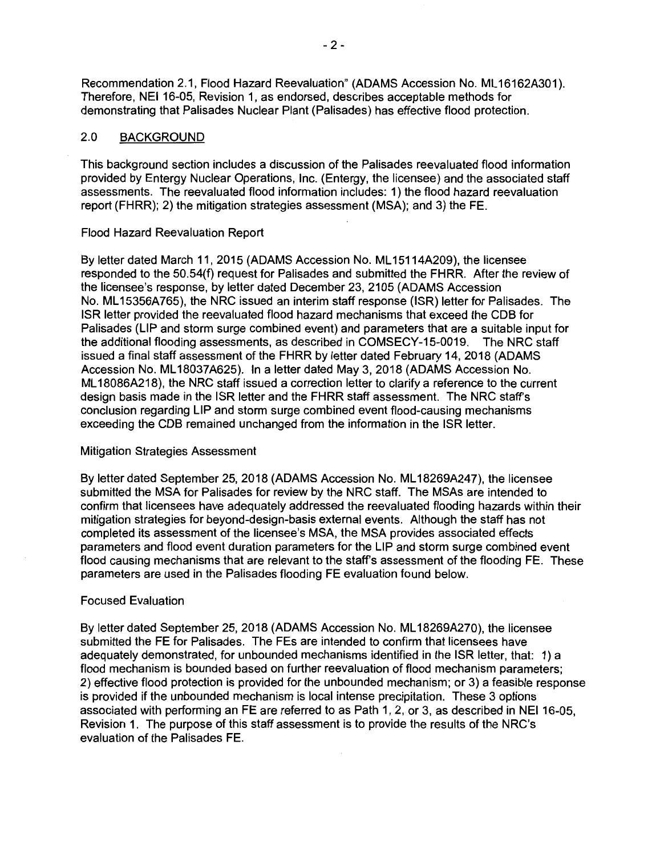Recommendation 2.1, Flood Hazard Reevaluation" (ADAMS Accession No. ML16162A301). Therefore, NEI 16-05, Revision 1, as endorsed, describes acceptable methods for demonstrating that Palisades Nuclear Plant (Palisades) has effective flood protection.

## 2.0 **BACKGROUND**

This background section includes a discussion of the Palisades reevaluated flood information provided by Entergy Nuclear Operations, Inc. (Entergy, the licensee) and the associated staff assessments. The reevaluated flood information includes: 1) the flood hazard reevaluation report (FHRR); 2) the mitigation strategies assessment (MSA); and 3) the FE.

## Flood Hazard Reevaluation Report

By letter dated March 11, 2015 (ADAMS Accession No. ML 15114A209), the licensee responded to the 50.54(f) request for Palisades and submitted the FHRR. After the review of the licensee's response, by letter dated December 23, 2105 (ADAMS Accession No. ML 15356A765), the NRC issued an interim staff response (ISR) letter for Palisades. The ISR letter provided the reevaluated flood hazard mechanisms that exceed the COB for Palisades (LIP and storm surge combined event) and parameters that are a suitable input for the additional flooding assessments, as described in COMSECY-15-0019. The NRC staff issued a final staff assessment of the FHRR by letter dated February 14, 2018 (ADAMS Accession No. ML 18037A625). In a letter dated May 3, 2018 (ADAMS Accession No. ML 18086A218), the NRC staff issued a correction letter to clarify a reference to the current design basis made in the ISR letter and the FHRR staff assessment. The NRC staff's conclusion regarding LIP and storm surge combined event flood-causing mechanisms exceeding the COB remained unchanged from the information in the ISR letter.

## Mitigation Strategies Assessment

By letter dated September 25, 2018 (ADAMS Accession No. ML 18269A247), the licensee submitted the MSA for Palisades for review by the NRC staff. The MSAs are intended to confirm that licensees have adequately addressed the reevaluated flooding hazards within their mitigation strategies for beyond-design-basis external events. Although the staff has not completed its assessment of the licensee's MSA, the MSA provides associated effects parameters and flood event duration parameters for the LIP and storm surge combined event flood causing mechanisms that are relevant to the staff's assessment of the flooding FE. These parameters are used in the Palisades flooding FE evaluation found below.

## Focused Evaluation

By letter dated September 25, 2018 (ADAMS Accession No. ML 18269A270), the licensee submitted the FE for Palisades. The FEs are intended to confirm that licensees have adequately demonstrated, for unbounded mechanisms identified in the ISR letter, that: 1) a flood mechanism is bounded based on further reevaluation of flood mechanism parameters; 2) effective flood protection is provided for the unbounded mechanism; or 3) a feasible response is provided if the unbounded mechanism is local intense precipitation. These 3 options associated with performing an FE are referred to as Path 1, 2, or 3, as described in NEI 16-05, Revision 1. The purpose of this staff assessment is to provide the results of the NRC's evaluation of the Palisades FE.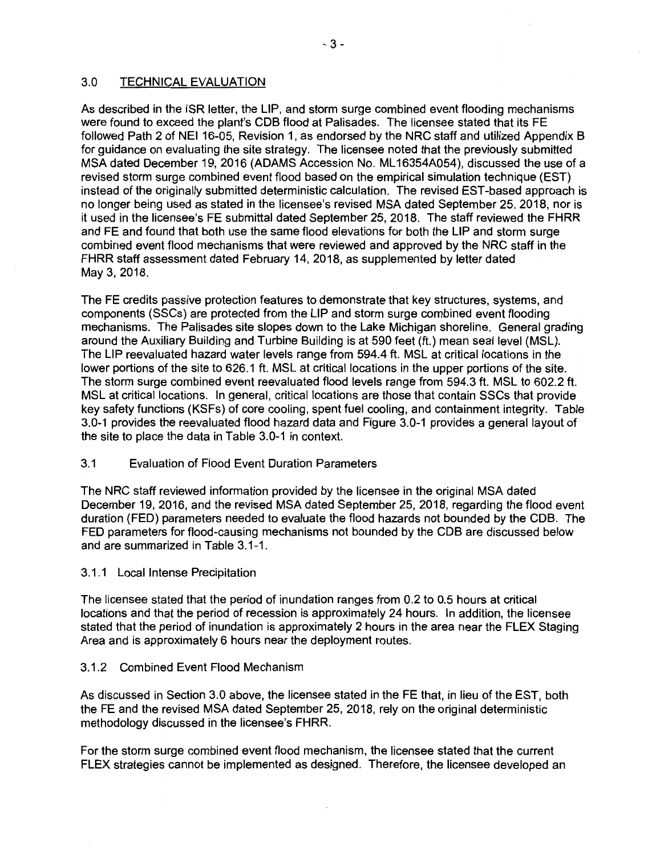## 3.0 TECHNICAL EVALUATION

As described in the ISR letter, the LIP, and storm surge combined event flooding mechanisms were found to exceed the plant's COB flood at Palisades. The licensee stated that its FE followed Path 2 of NEI 16-05, Revision 1, as endorsed by the NRC staff and utilized Appendix B for guidance on evaluating the site strategy. The licensee noted that the previously submitted MSA dated December 19, 2016 (ADAMS Accession No. ML 16354A054), discussed the use of a revised storm surge combined event flood based on the empirical simulation technique (EST} instead of the originally submitted deterministic calculation. The revised EST-based approach is no longer being used as stated in the licensee's revised MSA dated September 25, 2018, nor is it used in the licensee's FE submittal dated September 25, 2018. The staff reviewed the FHRR and FE and found that both use the same flood elevations for both the LIP and storm surge combined event flood mechanisms that were reviewed and approved by the NRC staff in the FHRR staff assessment dated February 14, 2018, as supplemented by letter dated May 3, 2018.

The FE credits passive protection features to demonstrate that key structures, systems, and components (SSCs) are protected from the LIP and storm surge combined event flooding mechanisms. The Palisades site slopes down to the Lake Michigan shoreline. General grading around the Auxiliary Building and Turbine Building is at 590 feet (ft.) mean seal level (MSL). The LIP reevaluated hazard water levels range from 594.4 ft. MSL at critical locations in the lower portions of the site to 626.1 ft. MSL at critical locations in the upper portions of the site. The storm surge combined event reevaluated flood levels range from 594.3 ft. MSL to 602.2 ft. MSL at critical locations. In general, critical locations are those that contain SSCs that provide key safety functions (KSFs) of core cooling, spent fuel cooling, and containment integrity. Table 3.0-1 provides the reevaluated flood hazard data and Figure 3.0-1 provides a general layout of the site to place the data in Table 3.0-1 in context.

### 3.1 Evaluation of Flood Event Duration Parameters

The NRC staff reviewed information provided by the licensee in the original MSA dated December 19, 2016, and the revised MSA dated September 25, 2018, regarding the flood event duration (FED) parameters needed to evaluate the flood hazards not bounded by the COB. The FED parameters for flood-causing mechanisms not bounded by the COB are discussed below and are summarized in Table 3.1-1.

#### 3.1.1 Local Intense Precipitation

The licensee stated that the period of inundation ranges from 0.2 to 0.5 hours at critical locations and that the period of recession is approximately 24 hours. In addition, the licensee stated that the period of inundation is approximately 2 hours in the area near the FLEX Staging Area and is approximately 6 hours near the deployment routes.

#### 3.1.2 Combined Event Flood Mechanism

As discussed in Section 3.0 above, the licensee stated in the FE that, in lieu of the EST, both the FE and the revised MSA dated September 25, 2018, rely on the original deterministic methodology discussed in the licensee's FHRR.

For the storm surge combined event flood mechanism, the licensee stated that the current FLEX strategies cannot be implemented as designed. Therefore, the licensee developed an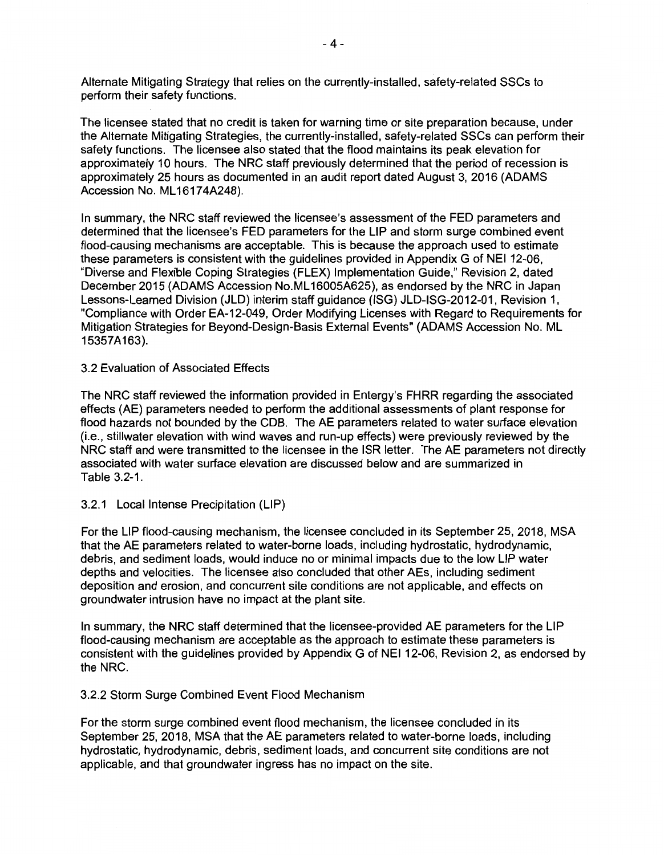Alternate Mitigating Strategy that relies on the currently-installed, safety-related SSCs to perform their safety functions.

The licensee stated that no credit is taken for warning time or site preparation because, under the Alternate Mitigating Strategies, the currently-installed, safety-related SSCs can perform their safety functions. The licensee also stated that the flood maintains its peak elevation for approximately 10 hours. The NRC staff previously determined that the period of recession is approximately 25 hours as documented in an audit report dated August 3, 2016 (ADAMS Accession No. ML 16174A248).

In summary, the NRC staff reviewed the licensee's assessment of the FED parameters and determined that the licensee's FED parameters for the LIP and storm surge combined event flood-causing mechanisms are acceptable. This is because the approach used to estimate these parameters is consistent with the guidelines provided in Appendix G of NEI 12-06, "Diverse and Flexible Coping Strategies (FLEX) Implementation Guide," Revision 2, dated December 2015 (ADAMS Accession No.ML 16005A625), as endorsed by the NRC in Japan Lessons-Learned Division (JLD) interim staff guidance (ISG) JLD-ISG-2012-01, Revision 1, "Compliance with Order EA-12-049, Order Modifying Licenses with Regard to Requirements for Mitigation Strategies for Beyond-Design-Basis External Events" (ADAMS Accession No. ML **15357A163).** 

#### 3.2 Evaluation of Associated Effects

The NRC staff reviewed the information provided in Entergy's FHRR regarding the associated effects (AE) parameters needed to perform the additional assessments of plant response for flood hazards not bounded by the COB. The AE parameters related to water surface elevation (i.e., stillwater elevation with wind waves and run-up effects) were previously reviewed by the NRC staff and were transmitted to the licensee in the ISR letter. The AE parameters not directly associated with water surface elevation are discussed below and are summarized in Table 3.2-1.

### 3.2.1 Local Intense Precipitation (LIP)

For the LIP flood-causing mechanism, the licensee concluded in its September 25, 2018, MSA that the AE parameters related to water-borne loads, including hydrostatic, hydrodynamic, debris, and sediment loads, would induce no or minimal impacts due to the low LIP water depths and velocities. The licensee also concluded that other AEs, including sediment deposition and erosion, and concurrent site conditions are not applicable, and effects on groundwater intrusion have no impact at the plant site.

In summary, the NRC staff determined that the licensee-provided AE parameters for the LIP flood-causing mechanism are acceptable as the approach to estimate these parameters is consistent with the guidelines provided by Appendix G of NEI 12-06, Revision 2, as endorsed by the **NRC.** 

#### 3.2.2 Storm Surge Combined Event Flood Mechanism

For the storm surge combined event flood mechanism, the licensee concluded in its September 25, 2018, MSA that the AE parameters related to water-borne loads, including hydrostatic, hydrodynamic, debris, sediment loads, and concurrent site conditions are not applicable, and that groundwater ingress has no impact on the site.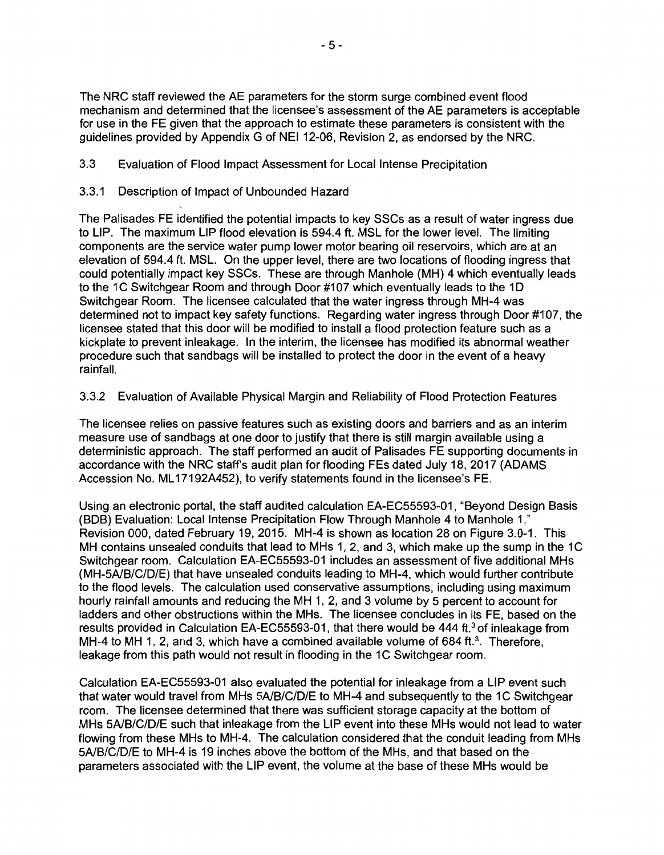The NRC staff reviewed the AE parameters for the storm surge combined event flood mechanism and determined that the licensee's assessment of the AE parameters is acceptable for use in the FE given that the approach to estimate these parameters is consistent with the guidelines provided by Appendix G of NEI 12-06, Revision 2, as endorsed by the NRC.

## 3.3 Evaluation of Flood Impact Assessment for Local Intense Precipitation

## 3.3.1 Description of Impact of Unbounded Hazard

The Palisades FE identified the potential impacts to key SSCs as a result of water ingress due to LIP. The maximum LIP flood elevation is 594.4 ft. MSL for the lower level. The limiting components are the service water pump lower motor bearing oil reservoirs, which are at an elevation of 594.4 ft. MSL. On the upper level, there are two locations of flooding ingress that could potentially impact key SSCs. These are through Manhole (MH) 4 which eventually leads to the 1C Switchgear Room and through Door #107 which eventually leads to the 1D Switchgear Room. The licensee calculated that the water ingress through MH-4 was determined not to impact key safety functions. Regarding water ingress through Door #107, the licensee stated that this door will be modified to install a flood protection feature such as a kickplate to prevent inleakage. In the interim, the licensee has modified its abnormal weather procedure such that sandbags will be installed to protect the door in the event of a heavy rainfall.

## 3.3.2 Evaluation of Available Physical Margin and Reliability of Flood Protection Features

The licensee relies on passive features such as existing doors and barriers and as an interim measure use of sandbags at one door to justify that there is still margin available using a deterministic approach. The staff performed an audit of Palisades FE supporting documents in accordance with the NRC staff's audit plan for flooding FEs dated July 18, 2017 (ADAMS Accession No. ML 17192A452), to verify statements found in the licensee's FE.

Using an electronic portal, the staff audited calculation EA-EC55593-01, "Beyond Design Basis (BDB) Evaluation: Local Intense Precipitation Flow Through Manhole 4 to Manhole 1," Revision 000, dated February 19, 2015. MH-4 is shown as location 28 on Figure 3.0-1. This MH contains unsealed conduits that lead to MHs 1, 2, and 3, which make up the sump in the 1C Switchgear room. Calculation EA-EC55593-01 includes an assessment of five additional MHs (MH-5A/B/C/D/E) that have unsealed conduits leading to MH-4, which would further contribute to the flood levels. The calculation used conservative assumptions, including using maximum hourly rainfall amounts and reducing the MH 1, 2, and 3 volume by 5 percent to account for ladders and other obstructions within the MHs. The licensee concludes in its FE, based on the results provided in Calculation EA-EC55593-01, that there would be 444 ft.<sup>3</sup> of inleakage from MH-4 to MH 1, 2, and 3, which have a combined available volume of 684 ft.<sup>3</sup>. Therefore, leakage from this path would not result in flooding in the 1C Switchgear room.

Calculation EA-EC55593-01 also evaluated the potential for inleakage from a LIP event such that water would travel from MHs 5A/B/C/D/E to MH-4 and subsequently to the 1C Switchgear room. The licensee determined that there was sufficient storage capacity at the bottom of MHs 5A/B/C/D/E such that inleakage from the LIP event into these MHs would not lead to water flowing from these MHs to MH-4. The calculation considered that the conduit leading from MHs 5A/B/C/D/E to MH-4 is 19 inches above the bottom of the MHs, and that based on the parameters associated with the LIP event, the volume at the base of these MHs would be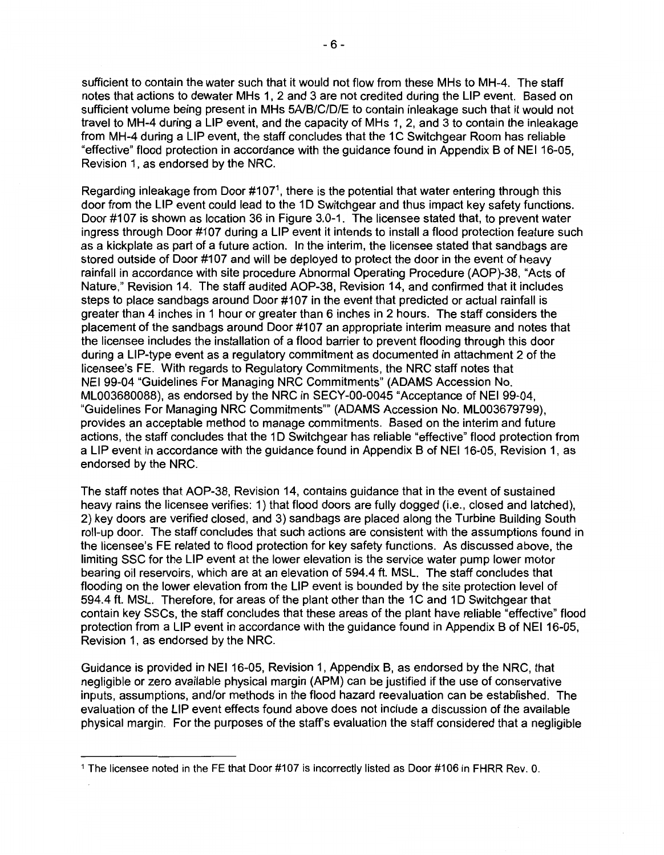sufficient to contain the water such that it would not flow from these MHs to MH-4. The staff notes that actions to dewater MHs 1, 2 and 3 are not credited during the LIP event. Based on sufficient volume being present in MHs 5A/B/C/D/E to contain inleakage such that it would not travel to MH-4 during a LIP event, and the capacity of MHs 1, 2, and 3 to contain the inleakage from MH-4 during a LIP event, the staff concludes that the 1C Switchgear Room has reliable "effective" flood protection in accordance with the guidance found in Appendix B of NEI 16-05, Revision 1, as endorsed by the NRC.

Regarding in leakage from Door  $\#107^1$ , there is the potential that water entering through this door from the LIP event could lead to the 1D Switchgear and thus impact key safety functions. Door #107 is shown as location 36 in Figure 3.0-1. The licensee stated that, to prevent water ingress through Door #107 during a LIP event it intends to install a flood protection feature such as a kickplate as part of a future action. In the interim, the licensee stated that sandbags are stored outside of Door #107 and will be deployed to protect the door in the event of heavy rainfall in accordance with site procedure Abnormal Operating Procedure (AOP)-38, "Acts of Nature," Revision 14. The staff audited AOP-38, Revision 14, and confirmed that it includes steps to place sandbags around Door #107 in the event that predicted or actual rainfall is greater than 4 inches in 1 hour or greater than 6 inches in 2 hours. The staff considers the placement of the sandbags around Door #107 an appropriate interim measure and notes that the licensee includes the installation of a flood barrier to prevent flooding through this door during a LIP-type event as a regulatory commitment as documented in attachment 2 of the licensee's FE. With regards to Regulatory Commitments, the NRC staff notes that NEI 99-04 "Guidelines For Managing NRC Commitments" (ADAMS Accession No. ML003680088), as endorsed by the NRC in SECY-00-0045 "Acceptance of NEI 99-04, "Guidelines For Managing NRC Commitments"" (ADAMS Accession No. ML003679799), provides an acceptable method to manage commitments. Based on the interim and future actions, the staff concludes that the 1D Switchgear has reliable "effective" flood protection from a LIP event in accordance with the guidance found in Appendix B of NEI 16-05, Revision 1, as endorsed by the NRC.

The staff notes that AOP-38, Revision 14, contains guidance that in the event of sustained heavy rains the licensee verifies: 1) that flood doors are fully dogged (i.e., closed and latched), 2) key doors are verified closed, and 3) sandbags are placed along the Turbine Building South roll-up door. The staff concludes that such actions are consistent with the assumptions found in the licensee's FE related to flood protection for key safety functions. As discussed above, the limiting SSC for the LIP event at the lower elevation is the service water pump lower motor bearing oil reservoirs, which are at an elevation of 594.4 ft. MSL. The staff concludes that flooding on the lower elevation from the LIP event is bounded by the site protection level of 594.4 ft. MSL. Therefore, for areas of the plant other than the 1C and 1D Switchgear that contain key SSCs, the staff concludes that these areas of the plant have reliable "effective" flood protection from a LIP event in accordance with the guidance found in Appendix B of NEI 16-05, Revision 1, as endorsed by the NRC.

Guidance is provided in NEI 16-05, Revision 1, Appendix B, as endorsed by the NRC, that negligible or zero available physical margin (APM) can be justified if the use of conservative inputs, assumptions, and/or methods in the flood hazard reevaluation can be established. The evaluation of the LIP event effects found above does not include a discussion of the available physical margin. For the purposes of the staff's evaluation the staff considered that a negligible

<sup>1</sup> The licensee noted in the FE that Door #107 is incorrectly listed as Door #106 in FHRR Rev. 0.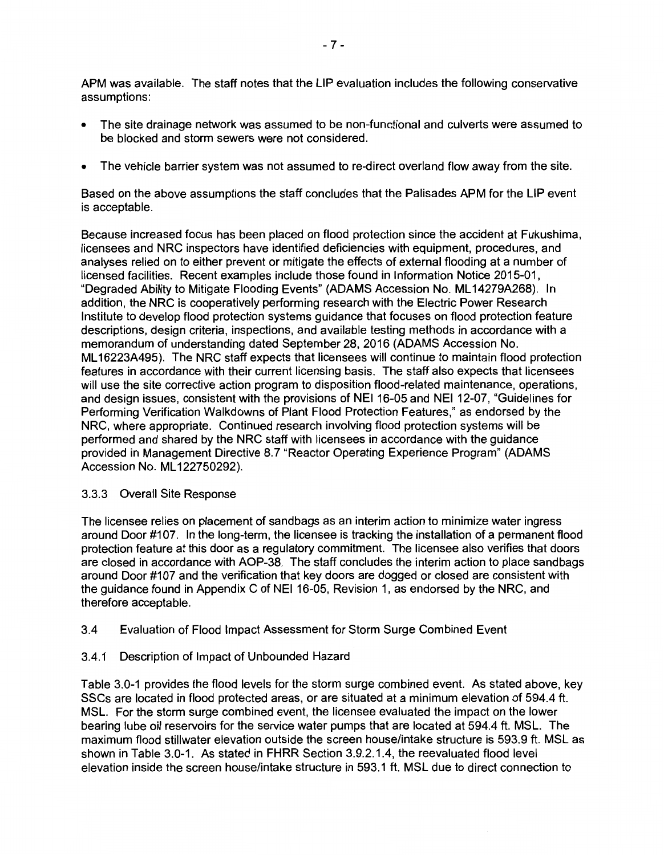APM was available. The staff notes that the LIP evaluation includes the following conservative assumptions:

- The site drainage network was assumed to be non-functional and culverts were assumed to be blocked and storm sewers were not considered.
- The vehicle barrier system was not assumed to re-direct overland flow away from the site.

Based on the above assumptions the staff concludes that the Palisades APM for the LIP event is acceptable.

Because increased focus has been placed on flood protection since the accident at Fukushima, licensees and NRC inspectors have identified deficiencies with equipment, procedures, and analyses relied on to either prevent or mitigate the effects of external flooding at a number of licensed facilities. Recent examples include those found in Information Notice 2015-01, "Degraded Ability to Mitigate Flooding Events" (ADAMS Accession No. ML 14279A268). In addition, the NRC is cooperatively performing research with the Electric Power Research Institute to develop flood protection systems guidance that focuses on flood protection feature descriptions, design criteria, inspections, and available testing methods in accordance with a memorandum of understanding dated September 28, 2016 (ADAMS Accession No. ML 16223A495). The NRC staff expects that licensees will continue to maintain flood protection features in accordance with their current licensing basis. The staff also expects that licensees will use the site corrective action program to disposition flood-related maintenance, operations, and design issues, consistent with the provisions of NEI 16-05 and NEI 12-07, "Guidelines for Performing Verification Walkdowns of Plant Flood Protection Features," as endorsed by the NRC, where appropriate. Continued research involving flood protection systems will be performed and shared by the NRC staff with licensees in accordance with the guidance provided in Management Directive 8. 7 "Reactor Operating Experience Program" (ADAMS Accession No. ML 122750292).

## 3.3.3 Overall Site Response

The licensee relies on placement of sandbags as an interim action to minimize water ingress around Door #107. In the long-term, the licensee is tracking the installation of a permanent flood protection feature at this door as a regulatory commitment. The licensee also verifies that doors are closed in accordance with AOP-38. The staff concludes the interim action to place sandbags around Door #107 and the verification that key doors are dogged or closed are consistent with the guidance found in Appendix C of NEI 16-05, Revision 1, as endorsed by the NRC, and therefore acceptable.

## 3.4 Evaluation of Flood Impact Assessment for Storm Surge Combined Event

## 3.4.1 Description of Impact of Unbounded Hazard

Table 3.0-1 provides the flood levels for the storm surge combined event. As stated above, key SSCs are located in flood protected areas, or are situated at a minimum elevation of 594.4 ft. MSL. For the storm surge combined event, the licensee evaluated the impact on the lower bearing lube oil reservoirs for the service water pumps that are located at 594.4 ft. MSL. The maximum flood stillwater elevation outside the screen house/intake structure is 593.9 ft. MSL as shown in Table 3.0-1. As stated in FHRR Section 3.9.2.1.4, the reevaluated flood level elevation inside the screen house/intake structure in 593.1 ft. MSL due to direct connection to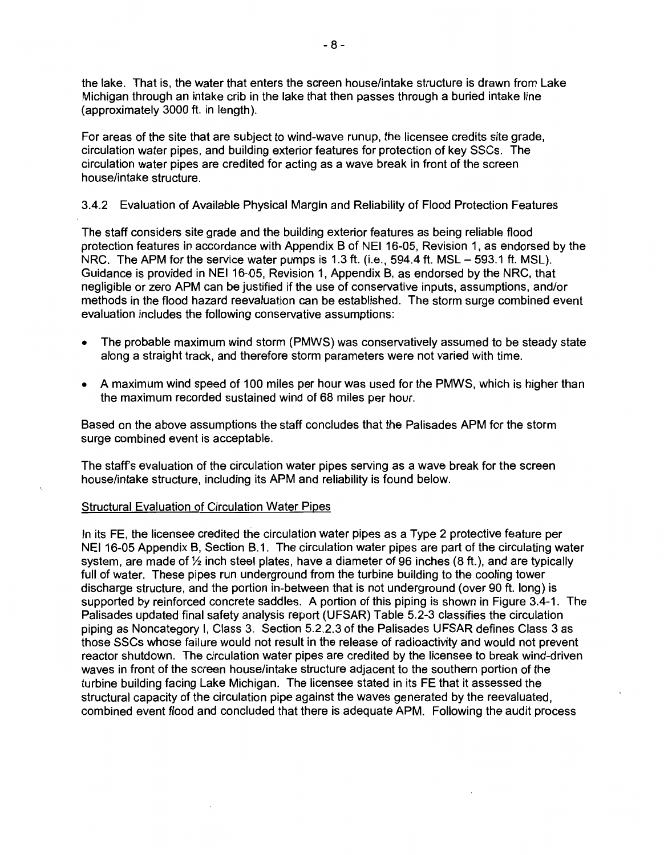the lake. That is, the water that enters the screen house/intake structure is drawn from Lake Michigan through an intake crib in the lake that then passes through a buried intake line (approximately 3000 ft. in length).

For areas of the site that are subject to wind-wave runup, the licensee credits site grade, circulation water pipes, and building exterior features for protection of key SSCs. The circulation water pipes are credited for acting as a wave break in front of the screen house/intake structure.

## 3.4.2 Evaluation of Available Physical Margin and Reliability of Flood Protection Features

The staff considers site grade and the building exterior features as being reliable flood protection features in accordance with Appendix B of NEI 16-05, Revision 1, as endorsed by the NRC. The APM for the service water pumps is 1.3 ft. (i.e.,  $594.4$  ft. MSL  $-593.1$  ft. MSL). Guidance is provided in NEI 16-05, Revision 1, Appendix B, as endorsed by the NRC, that negligible or zero APM can be justified if the use of conservative inputs, assumptions, and/or methods in the flood hazard reevaluation can be established. The storm surge combined event evaluation includes the following conservative assumptions:

- The probable maximum wind storm (PMWS) was conservatively assumed to be steady state along a straight track, and therefore storm parameters were not varied with time.
- A maximum wind speed of 100 miles per hour was used for the PMWS, which is higher than the maximum recorded sustained wind of 68 miles per hour.

Based on the above assumptions the staff concludes that the Palisades APM for the storm surge combined event is acceptable.

The staff's evaluation of the circulation water pipes serving as a wave break for the screen house/intake structure, including its APM and reliability is found below.

## Structural Evaluation of Circulation Water Pipes

In its FE, the licensee credited the circulation water pipes as a Type 2 protective feature per NEI 16-05 Appendix B, Section 8.1. The circulation water pipes are part of the circulating water system, are made of  $\frac{1}{2}$  inch steel plates, have a diameter of 96 inches (8 ft.), and are typically full of water. These pipes run underground from the turbine building to the cooling tower discharge structure, and the portion in-between that is not underground (over 90 ft. long) is supported by reinforced concrete saddles. A portion of this piping is shown in Figure 3.4-1. The Palisades updated final safety analysis report (UFSAR) Table 5.2-3 classifies the circulation piping as Noncategory I, Class 3. Section 5.2.2.3 of the Palisades UFSAR defines Class 3 as those SSCs whose failure would not result in the release of radioactivity and would not prevent reactor shutdown. The circulation water pipes are credited by the licensee to break wind-driven waves in front of the screen house/intake structure adjacent to the southern portion of the turbine building facing Lake Michigan. The licensee stated in its FE that it assessed the structural capacity of the circulation pipe against the waves generated by the reevaluated, combined event flood and concluded that there is adequate APM. Following the audit process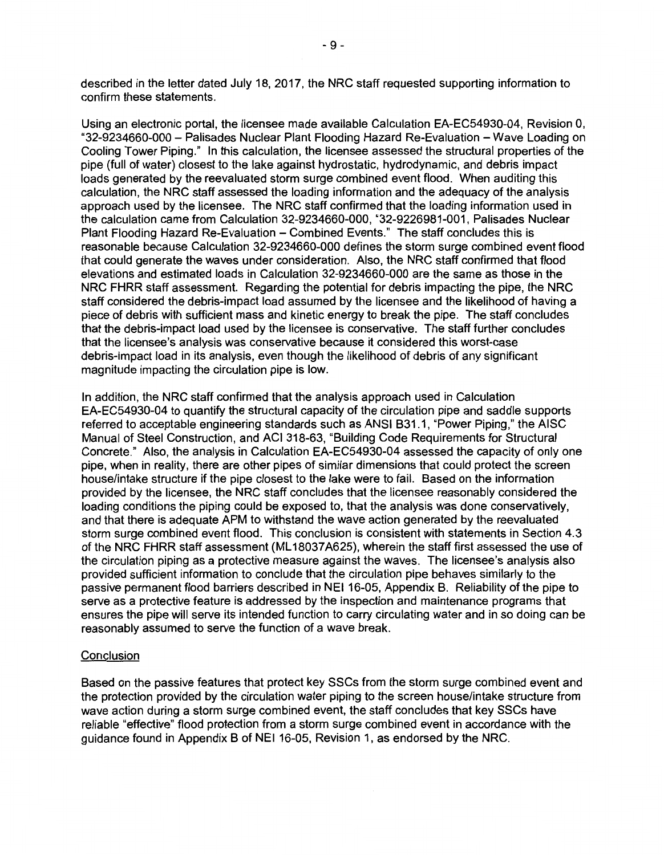described in the letter dated July 18, 2017, the NRC staff requested supporting information to confirm these statements.

Using an electronic portal, the licensee made available Calculation EA-EC54930-04, Revision 0, "32-9234660-000 - Palisades Nuclear Plant Flooding Hazard Re-Evaluation - Wave Loading on Cooling Tower Piping." In this calculation, the licensee assessed the structural properties of the pipe (full of water) closest to the lake against hydrostatic, hydrodynamic, and debris impact loads generated by the reevaluated storm surge combined event flood. When auditing this calculation, the NRC staff assessed the loading information and the adequacy of the analysis approach used by the licensee. The NRC staff confirmed that the loading information used in the calculation came from Calculation 32-9234660-000, "32-9226981-001, Palisades Nuclear Plant Flooding Hazard Re-Evaluation - Combined Events." The staff concludes this is reasonable because Calculation 32-9234660-000 defines the storm surge combined event flood that could generate the waves under consideration. Also, the NRC staff confirmed that flood elevations and estimated loads in Calculation 32-9234660-000 are the same as those in the NRC FHRR staff assessment. Regarding the potential for debris impacting the pipe, the NRC staff considered the debris-impact load assumed by the licensee and the likelihood of having a piece of debris with sufficient mass and kinetic energy to break the pipe. The staff concludes that the debris-impact load used by the licensee is conservative. The staff further concludes that the licensee's analysis was conservative because it considered this worst-case debris-impact load in its analysis, even though the likelihood of debris of any significant magnitude impacting the circulation pipe is low.

In addition, the NRC staff confirmed that the analysis approach used in Calculation EA-EC54930-04 to quantify the structural capacity of the circulation pipe and saddle supports referred to acceptable engineering standards such as ANSI 831.1, "Power Piping," the AISC Manual of Steel Construction, and ACI 318-63, "Building Code Requirements for Structural Concrete." Also, the analysis in Calculation EA-EC54930-04 assessed the capacity of only one pipe, when in reality, there are other pipes of similar dimensions that could protect the screen house/intake structure if the pipe closest to the lake were to fail. Based on the information provided by the licensee, the NRC staff concludes that the licensee reasonably considered the loading conditions the piping could be exposed to, that the analysis was done conservatively, and that there is adequate APM to withstand the wave action generated by the reevaluated storm surge combined event flood. This conclusion is consistent with statements in Section 4.3 of the NRC FHRR staff assessment (ML 18037 A625), wherein the staff first assessed the use of the circulation piping as a protective measure against the waves. The licensee's analysis also provided sufficient information to conclude that the circulation pipe behaves similarly to the passive permanent flood barriers described in NEI 16-05, Appendix B. Reliability of the pipe to serve as a protective feature is addressed by the inspection and maintenance programs that ensures the pipe will serve its intended function to carry circulating water and in so doing can be reasonably assumed to serve the function of a wave break.

## **Conclusion**

Based on the passive features that protect key SSCs from the storm surge combined event and the protection provided by the circulation water piping to the screen house/intake structure from wave action during a storm surge combined event, the staff concludes that key SSCs have reliable "effective" flood protection from a storm surge combined event in accordance with the guidance found in Appendix B of NEI 16-05, Revision 1, as endorsed by the NRC.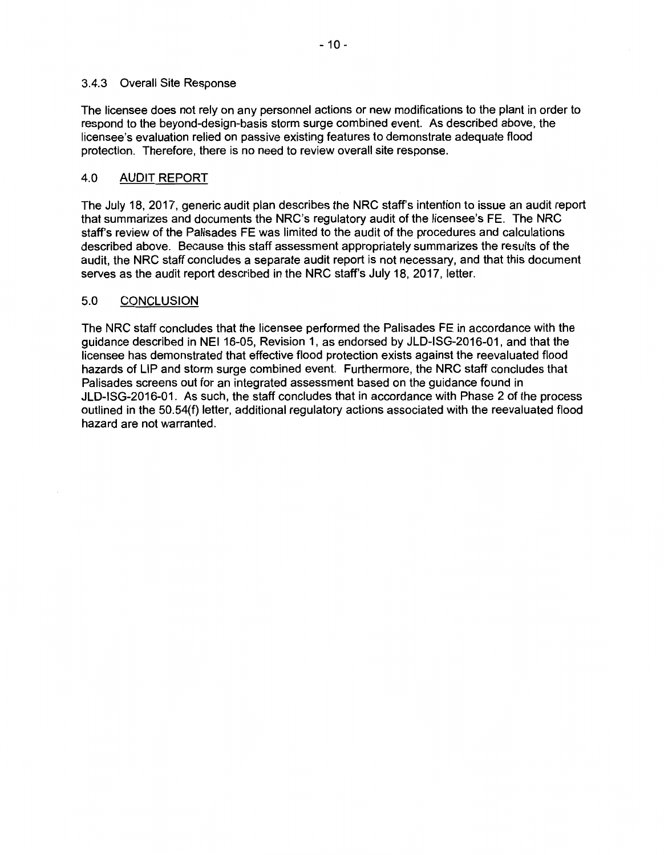### 3.4.3 Overall Site Response

The licensee does not rely on any personnel actions or new modifications to the plant in order to respond to the beyond-design-basis storm surge combined event. As described above, the licensee's evaluation relied on passive existing features to demonstrate adequate flood protection. Therefore, there is no need to review overall site response.

## 4.0 AUDIT REPORT

The July 18, 2017, generic audit plan describes the NRC staff's intention to issue an audit report that summarizes and documents the NRC's regulatory audit of the licensee's FE. The NRC staff's review of the Palisades FE was limited to the audit of the procedures and calculations described above. Because this staff assessment appropriately summarizes the results of the audit, the NRC staff concludes a separate audit report is not necessary, and that this document serves as the audit report described in the NRC staff's July 18, 2017, letter.

## 5.0 CONCLUSION

The NRC staff concludes that the licensee performed the Palisades FE in accordance with the guidance described in NEI 16-05, Revision 1, as endorsed by JLD-ISG-2016-01, and that the licensee has demonstrated that effective flood protection exists against the reevaluated flood hazards of LIP and storm surge combined event. Furthermore, the NRC staff concludes that Palisades screens out for an integrated assessment based on the guidance found in JLD-ISG-2016-01. As such, the staff concludes that in accordance with Phase 2 of the process outlined in the 50.54(f) letter, additional regulatory actions associated with the reevaluated flood hazard are not warranted.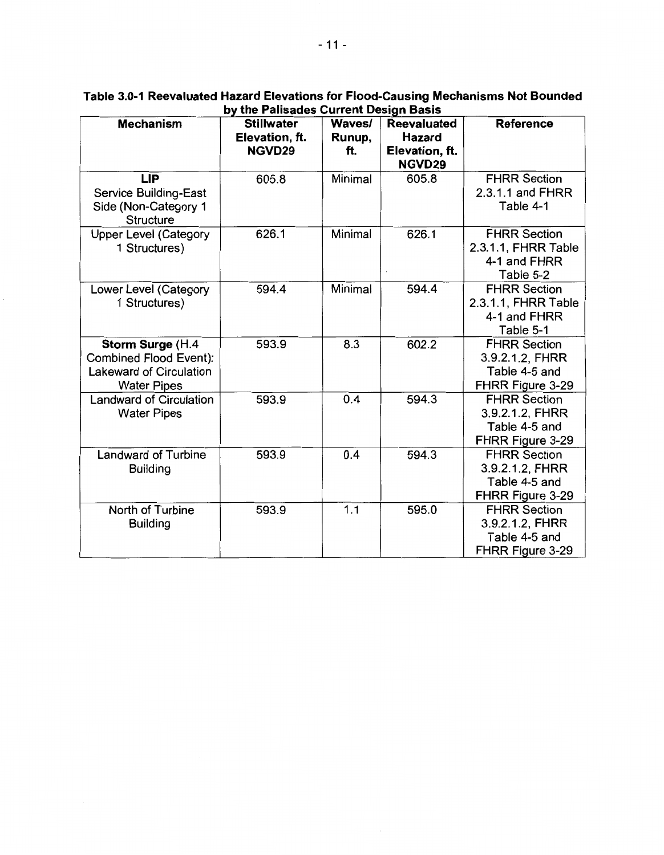| <b>Mechanism</b>               | <b>Stillwater</b> | Waves/  | <b>Reevaluated</b>       | <b>Reference</b>    |
|--------------------------------|-------------------|---------|--------------------------|---------------------|
|                                | Elevation, ft.    | Runup,  | <b>Hazard</b>            |                     |
|                                | NGVD29            | ft.     | Elevation, ft.<br>NGVD29 |                     |
| <b>LIP</b>                     | 605.8             | Minimal | 605.8                    | <b>FHRR Section</b> |
| <b>Service Building-East</b>   |                   |         |                          | 2.3.1.1 and FHRR    |
| Side (Non-Category 1           |                   |         |                          | Table 4-1           |
| <b>Structure</b>               |                   |         |                          |                     |
| <b>Upper Level (Category</b>   | 626.1             | Minimal | 626.1                    | <b>FHRR Section</b> |
| 1 Structures)                  |                   |         |                          | 2.3.1.1, FHRR Table |
|                                |                   |         |                          | 4-1 and FHRR        |
|                                |                   |         |                          | Table 5-2           |
| Lower Level (Category          | 594.4             | Minimal | 594.4                    | <b>FHRR Section</b> |
| 1 Structures)                  |                   |         |                          | 2.3.1.1, FHRR Table |
|                                |                   |         |                          | 4-1 and FHRR        |
|                                |                   |         |                          | Table 5-1           |
| Storm Surge (H.4               | 593.9             | 8.3     | 602.2                    | <b>FHRR Section</b> |
| <b>Combined Flood Event):</b>  |                   |         |                          | 3.9.2.1.2, FHRR     |
| <b>Lakeward of Circulation</b> |                   |         |                          | Table 4-5 and       |
| <b>Water Pipes</b>             |                   |         |                          | FHRR Figure 3-29    |
| <b>Landward of Circulation</b> | 593.9             | 0.4     | 594.3                    | <b>FHRR Section</b> |
| <b>Water Pipes</b>             |                   |         |                          | 3.9.2.1.2, FHRR     |
|                                |                   |         |                          | Table 4-5 and       |
|                                |                   |         |                          | FHRR Figure 3-29    |
| <b>Landward of Turbine</b>     | 593.9             | 0.4     | 594.3                    | <b>FHRR Section</b> |
| <b>Building</b>                |                   |         |                          | 3.9.2.1.2, FHRR     |
|                                |                   |         |                          | Table 4-5 and       |
|                                |                   |         |                          | FHRR Figure 3-29    |
| North of Turbine               | 593.9             | 1.1     | 595.0                    | <b>FHRR Section</b> |
| <b>Building</b>                |                   |         |                          | 3.9.2.1.2, FHRR     |
|                                |                   |         |                          | Table 4-5 and       |
|                                |                   |         |                          | FHRR Figure 3-29    |

**Table 3.0-1 Reevaluated Hazard Elevations for Flood-Causing Mechanisms Not Bounded by the Palisades Current Design Basis**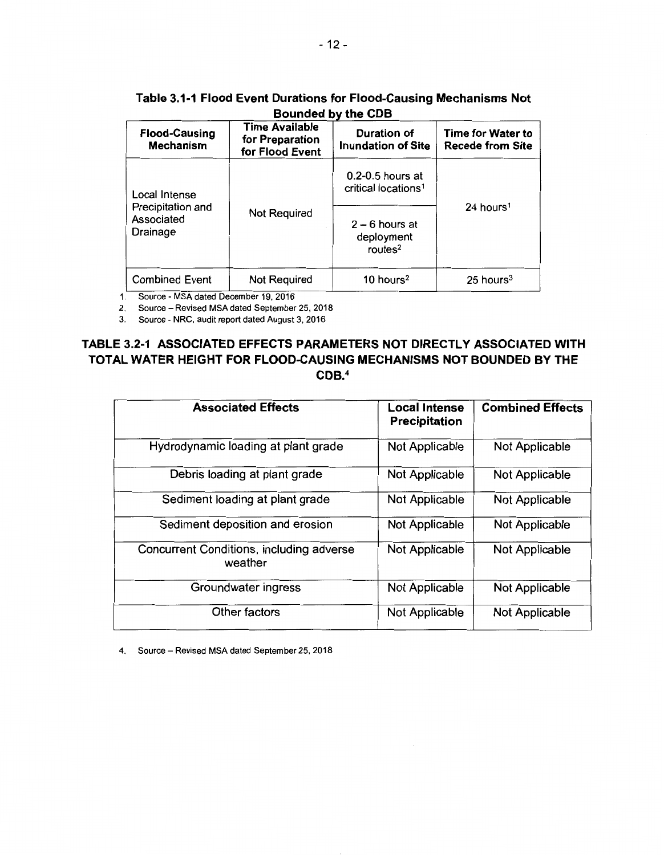# **Table 3.1-1 Flood Event Durations for Flood-Causing Mechanisms Not Bounded by the CDB**

| --------- -- ---- ---                                        |                                                      |                                                         |                                                     |  |  |  |
|--------------------------------------------------------------|------------------------------------------------------|---------------------------------------------------------|-----------------------------------------------------|--|--|--|
| <b>Flood-Causing</b><br><b>Mechanism</b>                     | Time Available<br>for Preparation<br>for Flood Event | Duration of<br><b>Inundation of Site</b>                | <b>Time for Water to</b><br><b>Recede from Site</b> |  |  |  |
| Local Intense<br>Precipitation and<br>Associated<br>Drainage |                                                      | $0.2 - 0.5$ hours at<br>critical locations <sup>1</sup> |                                                     |  |  |  |
|                                                              | Not Required                                         | $2 - 6$ hours at<br>deployment<br>routes $2$            | 24 hours <sup>1</sup>                               |  |  |  |
| <b>Combined Event</b>                                        | Not Reguired                                         | 10 hours $2$                                            | $25$ hours <sup>3</sup>                             |  |  |  |

1. Source - MSA dated December 19, 2016

2. Source – Revised MSA dated September 25, 2018

3. Source - NRC, audit report dated August 3, 2016

# **TABLE 3.2-1 ASSOCIATED EFFECTS PARAMETERS NOT DIRECTLY ASSOCIATED WITH TOTAL WATER HEIGHT FOR FLOOD-CAUSING MECHANISMS NOT BOUNDED BY THE CDB.4**

| <b>Associated Effects</b>                           | <b>Local Intense</b><br><b>Precipitation</b> | <b>Combined Effects</b> |
|-----------------------------------------------------|----------------------------------------------|-------------------------|
| Hydrodynamic loading at plant grade                 | Not Applicable                               | Not Applicable          |
| Debris loading at plant grade                       | Not Applicable                               | Not Applicable          |
| Sediment loading at plant grade                     | Not Applicable                               | Not Applicable          |
| Sediment deposition and erosion                     | Not Applicable                               | Not Applicable          |
| Concurrent Conditions, including adverse<br>weather | Not Applicable                               | Not Applicable          |
| Groundwater ingress                                 | Not Applicable                               | Not Applicable          |
| Other factors                                       | Not Applicable                               | Not Applicable          |

4. Source - Revised MSA dated September 25, 2018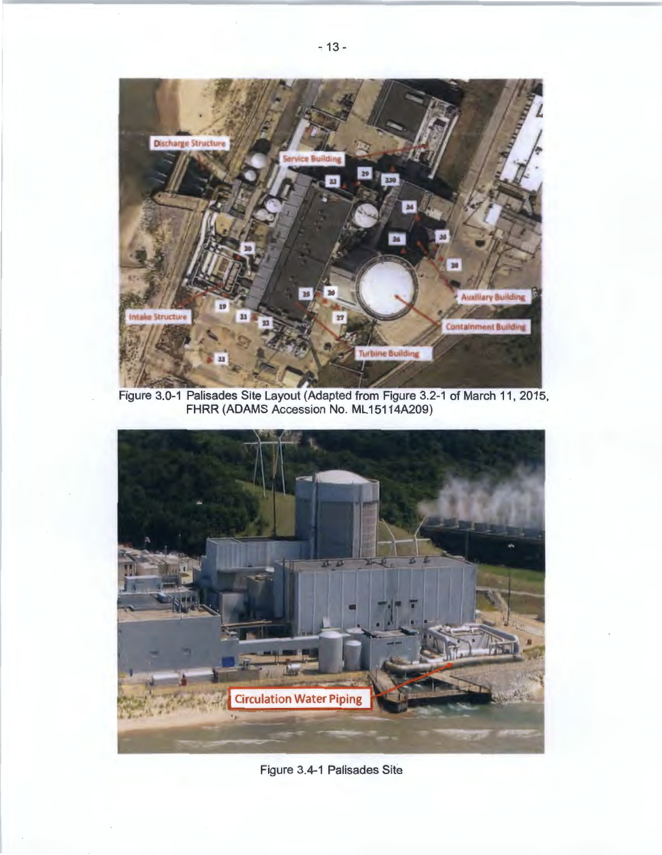

Figure 3.0-1 Palisades Site Layout (Adapted from Figure 3.2-1 of March 11, 2015, **FHRR** (ADAMS Accession No. ML 15114A209)



Figure 3.4-1 Palisades Site